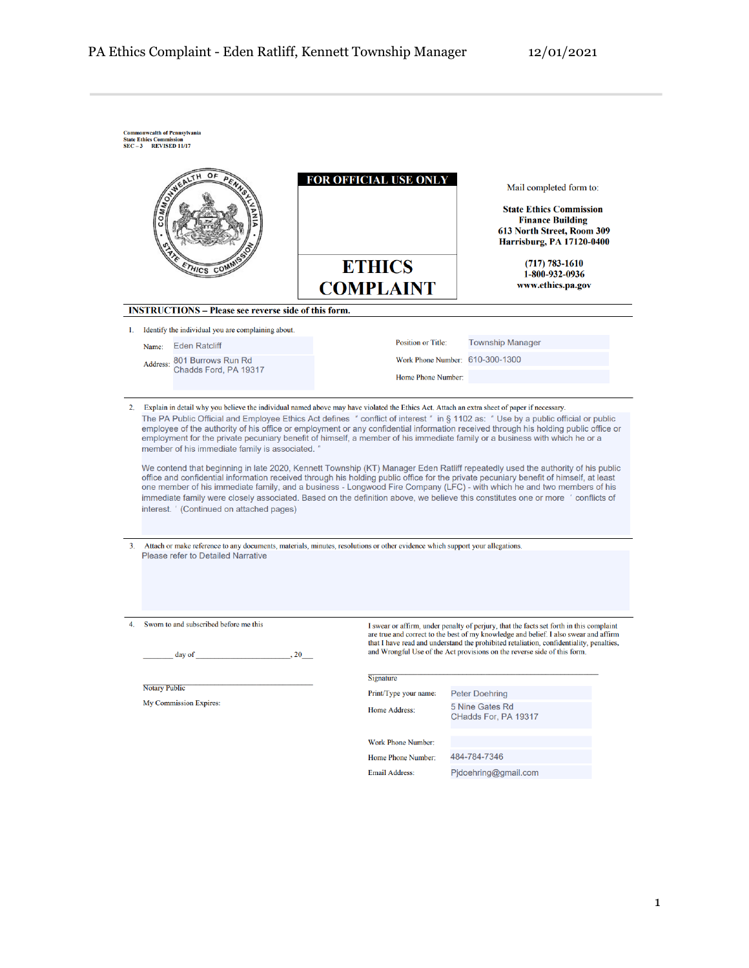|    |                      | HICS CO                                                                                     |                                                                                                                                                                                                                                              |                                                                                                                                   | FOR OFFICIAL USE ONLY<br><b>ETHICS</b>                                                                                                                                                                                                                                                                                                                                                                                                                                                                                                                                                                                                                                                                                                                                                                     |              |                                         | Mail completed form to:<br><b>State Ethics Commission</b><br><b>Finance Building</b><br>613 North Street, Room 309<br><b>Harrisburg, PA 17120-0400</b><br>$(717) 783 - 1610$ |  |
|----|----------------------|---------------------------------------------------------------------------------------------|----------------------------------------------------------------------------------------------------------------------------------------------------------------------------------------------------------------------------------------------|-----------------------------------------------------------------------------------------------------------------------------------|------------------------------------------------------------------------------------------------------------------------------------------------------------------------------------------------------------------------------------------------------------------------------------------------------------------------------------------------------------------------------------------------------------------------------------------------------------------------------------------------------------------------------------------------------------------------------------------------------------------------------------------------------------------------------------------------------------------------------------------------------------------------------------------------------------|--------------|-----------------------------------------|------------------------------------------------------------------------------------------------------------------------------------------------------------------------------|--|
|    |                      |                                                                                             |                                                                                                                                                                                                                                              |                                                                                                                                   | <b>COMPLAINT</b>                                                                                                                                                                                                                                                                                                                                                                                                                                                                                                                                                                                                                                                                                                                                                                                           |              |                                         | 1-800-932-0936<br>www.ethics.pa.gov                                                                                                                                          |  |
|    |                      | <b>INSTRUCTIONS – Please see reverse side of this form.</b>                                 |                                                                                                                                                                                                                                              |                                                                                                                                   |                                                                                                                                                                                                                                                                                                                                                                                                                                                                                                                                                                                                                                                                                                                                                                                                            |              |                                         |                                                                                                                                                                              |  |
| 1. |                      | Identify the individual you are complaining about.                                          |                                                                                                                                                                                                                                              |                                                                                                                                   |                                                                                                                                                                                                                                                                                                                                                                                                                                                                                                                                                                                                                                                                                                                                                                                                            |              |                                         |                                                                                                                                                                              |  |
|    | Name:                | <b>Eden Ratcliff</b>                                                                        |                                                                                                                                                                                                                                              |                                                                                                                                   | <b>Position or Title:</b>                                                                                                                                                                                                                                                                                                                                                                                                                                                                                                                                                                                                                                                                                                                                                                                  |              | <b>Township Manager</b>                 |                                                                                                                                                                              |  |
|    | Address:             | 801 Burrows Run Rd                                                                          |                                                                                                                                                                                                                                              |                                                                                                                                   | Work Phone Number: 610-300-1300                                                                                                                                                                                                                                                                                                                                                                                                                                                                                                                                                                                                                                                                                                                                                                            |              |                                         |                                                                                                                                                                              |  |
|    |                      | Chadds Ford, PA 19317                                                                       |                                                                                                                                                                                                                                              |                                                                                                                                   | Home Phone Number:                                                                                                                                                                                                                                                                                                                                                                                                                                                                                                                                                                                                                                                                                                                                                                                         |              |                                         |                                                                                                                                                                              |  |
|    |                      | member of his immediate family is associated."<br>interest. ' (Continued on attached pages) |                                                                                                                                                                                                                                              | The PA Public Official and Employee Ethics Act defines " conflict of interest" in § 1102 as: " Use by a public official or public | employee of the authority of his office or employment or any confidential information received through his holding public office or<br>employment for the private pecuniary benefit of himself, a member of his immediate family or a business with which he or a<br>We contend that beginning in late 2020, Kennett Township (KT) Manager Eden Ratliff repeatedly used the authority of his public<br>office and confidential information received through his holding public office for the private pecuniary benefit of himself, at least<br>one member of his immediate family, and a business - Longwood Fire Company (LFC) - with which he and two members of his<br>immediate family were closely associated. Based on the definition above, we believe this constitutes one or more ' conflicts of |              |                                         |                                                                                                                                                                              |  |
|    |                      | <b>Please refer to Detailed Narrative</b>                                                   |                                                                                                                                                                                                                                              |                                                                                                                                   | 3. Attach or make reference to any documents, materials, minutes, resolutions or other evidence which support your allegations.                                                                                                                                                                                                                                                                                                                                                                                                                                                                                                                                                                                                                                                                            |              |                                         |                                                                                                                                                                              |  |
| 4. |                      | Sworn to and subscribed before me this<br>day of                                            | <b>Contract Contract Contract Contract Contract Contract Contract Contract Contract Contract Contract Contract Contract Contract Contract Contract Contract Contract Contract Contract Contract Contract Contract Contract Contr</b><br>. 20 |                                                                                                                                   | I swear or affirm, under penalty of perjury, that the facts set forth in this complaint<br>are true and correct to the best of my knowledge and belief. I also swear and affirm<br>that I have read and understand the prohibited retaliation, confidentiality, penalties,<br>and Wrongful Use of the Act provisions on the reverse side of this form.                                                                                                                                                                                                                                                                                                                                                                                                                                                     |              |                                         |                                                                                                                                                                              |  |
|    |                      |                                                                                             |                                                                                                                                                                                                                                              |                                                                                                                                   | Signature                                                                                                                                                                                                                                                                                                                                                                                                                                                                                                                                                                                                                                                                                                                                                                                                  |              |                                         |                                                                                                                                                                              |  |
|    | <b>Notary Public</b> |                                                                                             |                                                                                                                                                                                                                                              |                                                                                                                                   | Print/Type your name:                                                                                                                                                                                                                                                                                                                                                                                                                                                                                                                                                                                                                                                                                                                                                                                      |              | <b>Peter Doehring</b>                   |                                                                                                                                                                              |  |
|    |                      | <b>My Commission Expires:</b>                                                               |                                                                                                                                                                                                                                              |                                                                                                                                   | Home Address:                                                                                                                                                                                                                                                                                                                                                                                                                                                                                                                                                                                                                                                                                                                                                                                              |              | 5 Nine Gates Rd<br>CHadds For, PA 19317 |                                                                                                                                                                              |  |
|    |                      |                                                                                             |                                                                                                                                                                                                                                              |                                                                                                                                   | <b>Work Phone Number:</b>                                                                                                                                                                                                                                                                                                                                                                                                                                                                                                                                                                                                                                                                                                                                                                                  |              |                                         |                                                                                                                                                                              |  |
|    |                      |                                                                                             |                                                                                                                                                                                                                                              |                                                                                                                                   | Home Phone Number:                                                                                                                                                                                                                                                                                                                                                                                                                                                                                                                                                                                                                                                                                                                                                                                         | 484-784-7346 |                                         |                                                                                                                                                                              |  |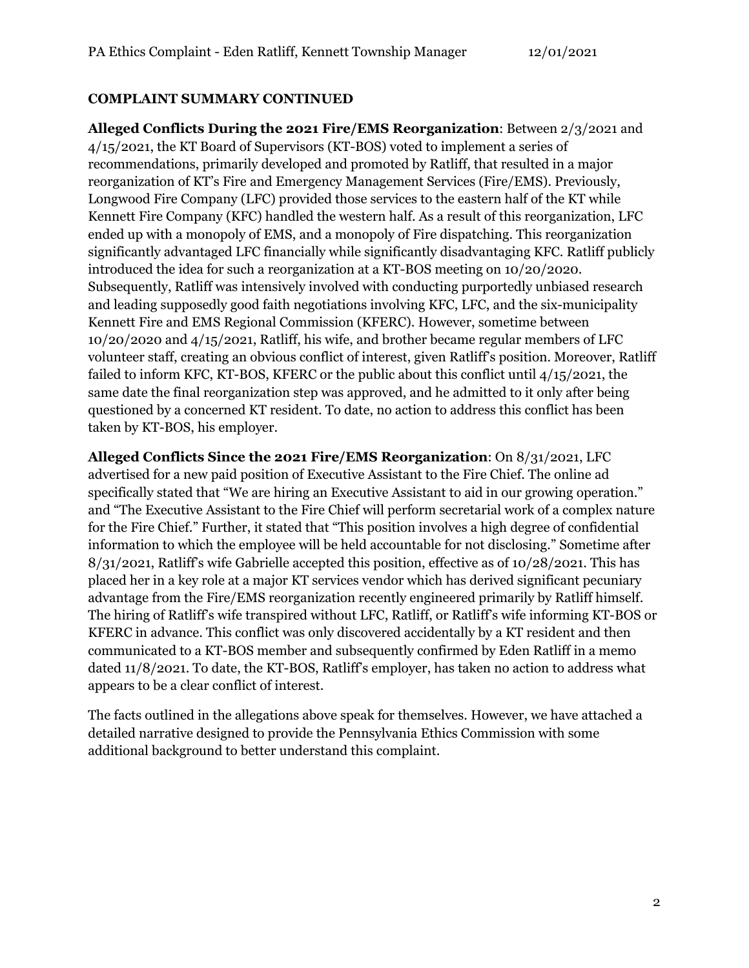#### **COMPLAINT SUMMARY CONTINUED**

**Alleged Conflicts During the 2021 Fire/EMS Reorganization**: Between 2/3/2021 and 4/15/2021, the KT Board of Supervisors (KT-BOS) voted to implement a series of recommendations, primarily developed and promoted by Ratliff, that resulted in a major reorganization of KT's Fire and Emergency Management Services (Fire/EMS). Previously, Longwood Fire Company (LFC) provided those services to the eastern half of the KT while Kennett Fire Company (KFC) handled the western half. As a result of this reorganization, LFC ended up with a monopoly of EMS, and a monopoly of Fire dispatching. This reorganization significantly advantaged LFC financially while significantly disadvantaging KFC. Ratliff publicly introduced the idea for such a reorganization at a KT-BOS meeting on 10/20/2020. Subsequently, Ratliff was intensively involved with conducting purportedly unbiased research and leading supposedly good faith negotiations involving KFC, LFC, and the six-municipality Kennett Fire and EMS Regional Commission (KFERC). However, sometime between 10/20/2020 and 4/15/2021, Ratliff, his wife, and brother became regular members of LFC volunteer staff, creating an obvious conflict of interest, given Ratliff's position. Moreover, Ratliff failed to inform KFC, KT-BOS, KFERC or the public about this conflict until 4/15/2021, the same date the final reorganization step was approved, and he admitted to it only after being questioned by a concerned KT resident. To date, no action to address this conflict has been taken by KT-BOS, his employer.

**Alleged Conflicts Since the 2021 Fire/EMS Reorganization**: On 8/31/2021, LFC advertised for a new paid position of Executive Assistant to the Fire Chief. The online ad specifically stated that "We are hiring an Executive Assistant to aid in our growing operation." and "The Executive Assistant to the Fire Chief will perform secretarial work of a complex nature for the Fire Chief." Further, it stated that "This position involves a high degree of confidential information to which the employee will be held accountable for not disclosing." Sometime after 8/31/2021, Ratliff's wife Gabrielle accepted this position, effective as of 10/28/2021. This has placed her in a key role at a major KT services vendor which has derived significant pecuniary advantage from the Fire/EMS reorganization recently engineered primarily by Ratliff himself. The hiring of Ratliff's wife transpired without LFC, Ratliff, or Ratliff's wife informing KT-BOS or KFERC in advance. This conflict was only discovered accidentally by a KT resident and then communicated to a KT-BOS member and subsequently confirmed by Eden Ratliff in a memo dated 11/8/2021. To date, the KT-BOS, Ratliff's employer, has taken no action to address what appears to be a clear conflict of interest.

The facts outlined in the allegations above speak for themselves. However, we have attached a detailed narrative designed to provide the Pennsylvania Ethics Commission with some additional background to better understand this complaint.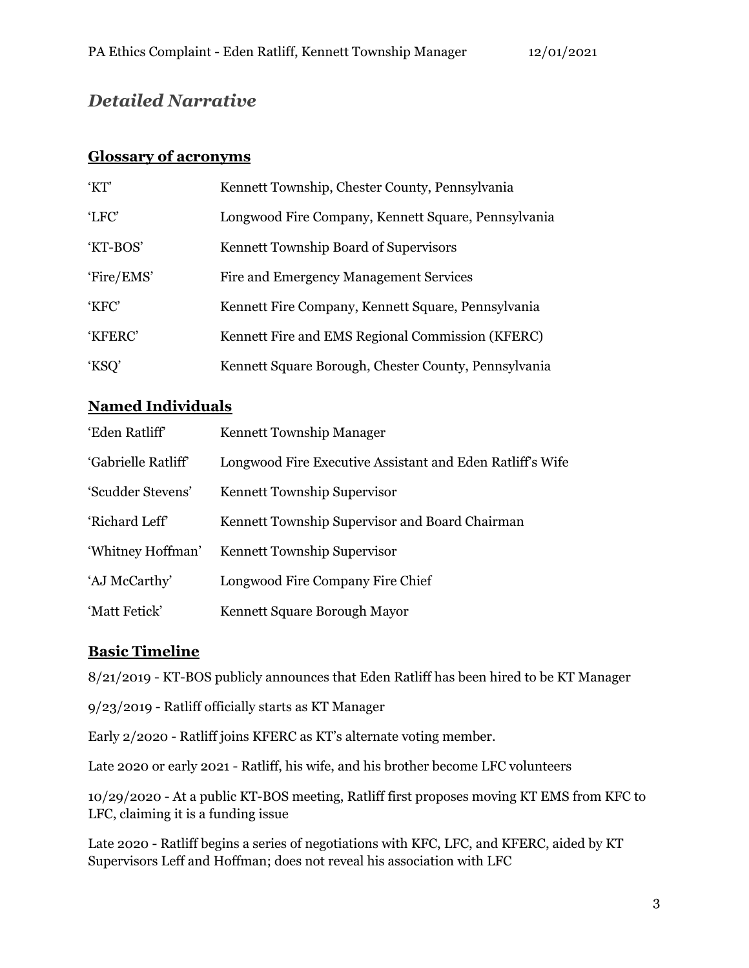# *Detailed Narrative*

#### **Glossary of acronyms**

| 'KT'       | Kennett Township, Chester County, Pennsylvania       |
|------------|------------------------------------------------------|
| 'LFC'      | Longwood Fire Company, Kennett Square, Pennsylvania  |
| 'KT-BOS'   | Kennett Township Board of Supervisors                |
| 'Fire/EMS' | Fire and Emergency Management Services               |
| 'KFC'      | Kennett Fire Company, Kennett Square, Pennsylvania   |
| 'KFERC'    | Kennett Fire and EMS Regional Commission (KFERC)     |
| 'KSQ'      | Kennett Square Borough, Chester County, Pennsylvania |

## **Named Individuals**

| 'Eden Ratliff'      | Kennett Township Manager                                  |  |  |  |  |
|---------------------|-----------------------------------------------------------|--|--|--|--|
| 'Gabrielle Ratliff' | Longwood Fire Executive Assistant and Eden Ratliff's Wife |  |  |  |  |
| 'Scudder Stevens'   | Kennett Township Supervisor                               |  |  |  |  |
| 'Richard Leff'      | Kennett Township Supervisor and Board Chairman            |  |  |  |  |
| 'Whitney Hoffman'   | Kennett Township Supervisor                               |  |  |  |  |
| 'AJ McCarthy'       | Longwood Fire Company Fire Chief                          |  |  |  |  |
| 'Matt Fetick'       | Kennett Square Borough Mayor                              |  |  |  |  |

### **Basic Timeline**

8/21/2019 - KT-BOS publicly announces that Eden Ratliff has been hired to be KT Manager

9/23/2019 - Ratliff officially starts as KT Manager

Early 2/2020 - Ratliff joins KFERC as KT's alternate voting member.

Late 2020 or early 2021 - Ratliff, his wife, and his brother become LFC volunteers

10/29/2020 - At a public KT-BOS meeting, Ratliff first proposes moving KT EMS from KFC to LFC, claiming it is a funding issue

Late 2020 - Ratliff begins a series of negotiations with KFC, LFC, and KFERC, aided by KT Supervisors Leff and Hoffman; does not reveal his association with LFC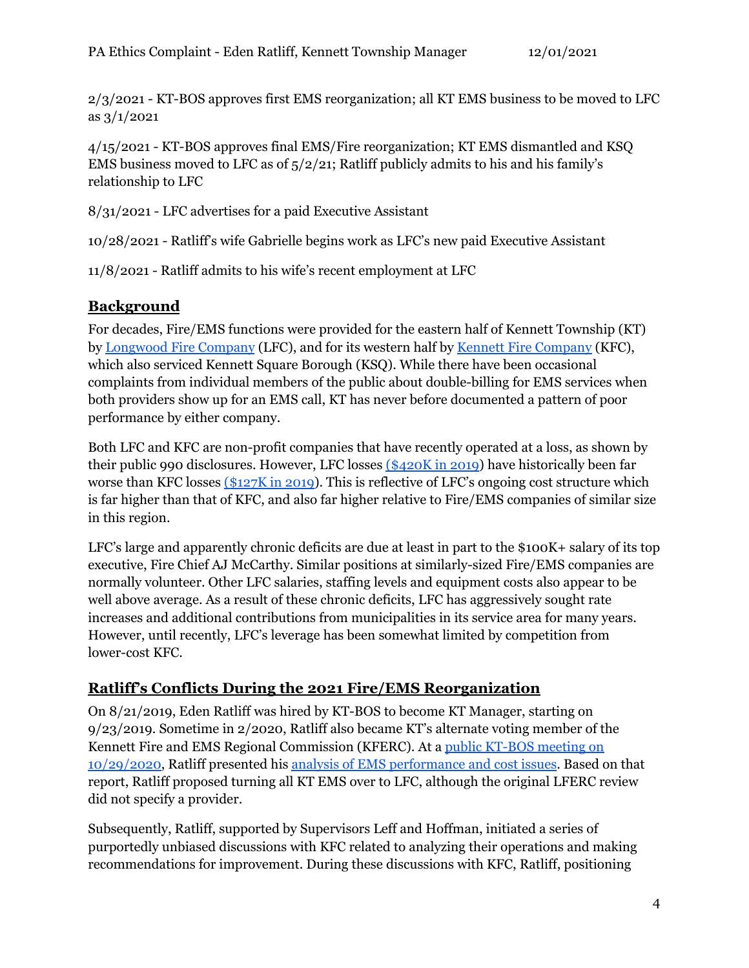2/3/2021 - KT-BOS approves first EMS reorganization; all KT EMS business to be moved to LFC as 3/1/2021

4/15/2021 - KT-BOS approves final EMS/Fire reorganization; KT EMS dismantled and KSQ EMS business moved to LFC as of 5/2/21; Ratliff publicly admits to his and his family's relationship to LFC

8/31/2021 - LFC advertises for a paid Executive Assistant

10/28/2021 - Ratliff's wife Gabrielle begins work as LFC's new paid Executive Assistant

11/8/2021 - Ratliff admits to his wife's recent employment at LFC

### **Background**

For decades, Fire/EMS functions were provided for the eastern half of Kennett Township (KT) by [Longwood](https://www.longwoodfireco.com/) Fire Company (LFC), and for its western half by Kennett Fire [Company](https://firestation24.com/) (KFC), which also serviced Kennett Square Borough (KSQ). While there have been occasional complaints from individual members of the public about double-billing for EMS services when both providers show up for an EMS call, KT has never before documented a pattern of poor performance by either company.

Both LFC and KFC are non-profit companies that have recently operated at a loss, as shown by their public 990 disclosures. However, LFC losses [\(\\$420K](https://pdf.guidestar.org/PDF_Images/2019/231/566/2019-231566823-17362300-9.pdf) in 2019) have historically been far worse than KFC losses [\(\\$127K](https://pdf.guidestar.org/PDF_Images/2019/231/476/2019-231476977-18747280-9.pdf) in 2019). This is reflective of LFC's ongoing cost structure which is far higher than that of KFC, and also far higher relative to Fire/EMS companies of similar size in this region.

LFC's large and apparently chronic deficits are due at least in part to the \$100K+ salary of its top executive, Fire Chief AJ McCarthy. Similar positions at similarly-sized Fire/EMS companies are normally volunteer. Other LFC salaries, staffing levels and equipment costs also appear to be well above average. As a result of these chronic deficits, LFC has aggressively sought rate increases and additional contributions from municipalities in its service area for many years. However, until recently, LFC's leverage has been somewhat limited by competition from lower-cost KFC.

### **Ratliff's Conflicts During the 2021 Fire/EMS Reorganization**

On 8/21/2019, Eden Ratliff was hired by KT-BOS to become KT Manager, starting on 9/23/2019. Sometime in 2/2020, Ratliff also became KT's alternate voting member of the Kennett Fire and EMS Regional Commission (KFERC). At a public [KT-BOS](https://kennett.pa.us/AgendaCenter/ViewFile/Minutes/_10292020-451) meeting on [10/29/2020,](https://kennett.pa.us/AgendaCenter/ViewFile/Minutes/_10292020-451) Ratliff presented his analysis of EMS [performance](https://www.kennett.pa.us/DocumentCenter/View/4361/102920-SPECCIAL-MEETING-EMS-Presentation) and cost issues. Based on that report, Ratliff proposed turning all KT EMS over to LFC, although the original LFERC review did not specify a provider.

Subsequently, Ratliff, supported by Supervisors Leff and Hoffman, initiated a series of purportedly unbiased discussions with KFC related to analyzing their operations and making recommendations for improvement. During these discussions with KFC, Ratliff, positioning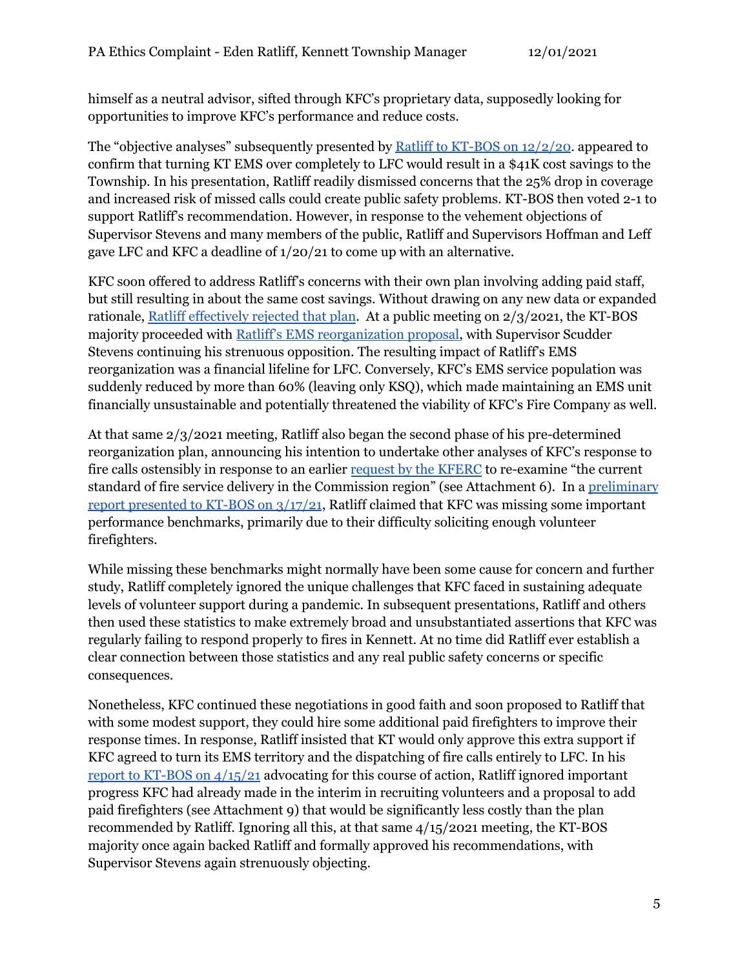himself as a neutral advisor, sifted through KFC's proprietary data, supposedly looking for opportunities to improve KFC's performance and reduce costs.

The "objective analyses" subsequently presented by Ratliff to KT-BOS on [12/2/20.](https://www.kennett.pa.us/DocumentCenter/View/4574/Agenda-Item-5_a_Consider-Consolidation-of-EMS-Delivery-Options) appeared to confirm that turning KT EMS over completely to LFC would result in a \$41K cost savings to the Township. In his presentation, Ratliff readily dismissed concerns that the 25% drop in coverage and increased risk of missed calls could create public safety problems. KT-BOS then voted 2-1 to support Ratliff's recommendation. However, in response to the vehement objections of Supervisor Stevens and many members of the public, Ratliff and Supervisors Hoffman and Leff gave LFC and KFC a deadline of 1/20/21 to come up with an alternative.

KFC soon offered to address Ratliff's concerns with their own plan involving adding paid staff, but still resulting in about the same cost savings. Without drawing on any new data or expanded rationale, Ratliff [effectively](https://www.kennett.pa.us/DocumentCenter/View/4566/Agenda-Item-4_a_EMS-Update) rejected that plan. At a public meeting on 2/3/2021, the KT-BOS majority proceeded with Ratliff's EMS [reorganization](https://www.kennett.pa.us/DocumentCenter/View/4542/Agenda-Item-7_a_Dept-Head-Admin) proposal, with Supervisor Scudder Stevens continuing his strenuous opposition. The resulting impact of Ratliff's EMS reorganization was a financial lifeline for LFC. Conversely, KFC's EMS service population was suddenly reduced by more than 60% (leaving only KSQ), which made maintaining an EMS unit financially unsustainable and potentially threatened the viability of KFC's Fire Company as well.

At that same 2/3/2021 meeting, Ratliff also began the second phase of his pre-determined reorganization plan, announcing his intention to undertake other analyses of KFC's response to fire calls ostensibly in response to an earlier request by the [KFERC](https://www.kennett.pa.us/DocumentCenter/View/4542/Agenda-Item-7_a_Dept-Head-Admin) to re-examine "the current standard of fire service delivery in the Commission region" (see Attachment 6). In a [preliminary](https://www.kennett.pa.us/DocumentCenter/View/4638/Agenda-Item-8_b_Dept-Head-Administration) report [presented](https://www.kennett.pa.us/DocumentCenter/View/4638/Agenda-Item-8_b_Dept-Head-Administration) to KT-BOS on 3/17/21, Ratliff claimed that KFC was missing some important performance benchmarks, primarily due to their difficulty soliciting enough volunteer firefighters.

While missing these benchmarks might normally have been some cause for concern and further study, Ratliff completely ignored the unique challenges that KFC faced in sustaining adequate levels of volunteer support during a pandemic. In subsequent presentations, Ratliff and others then used these statistics to make extremely broad and unsubstantiated assertions that KFC was regularly failing to respond properly to fires in Kennett. At no time did Ratliff ever establish a clear connection between those statistics and any real public safety concerns or specific consequences.

Nonetheless, KFC continued these negotiations in good faith and soon proposed to Ratliff that with some modest support, they could hire some additional paid firefighters to improve their response times. In response, Ratliff insisted that KT would only approve this extra support if KFC agreed to turn its EMS territory and the dispatching of fire calls entirely to LFC. In his report to [KT-BOS](https://www.kennett.pa.us/DocumentCenter/View/4693/Agenda-Item-2_a_Policy-Briefing-Summary-Analysis-to-Address-Response-Preformance-in-Western-Kennett-Township-and-Region-E-Ratliff-041021) on 4/15/21 advocating for this course of action, Ratliff ignored important progress KFC had already made in the interim in recruiting volunteers and a proposal to add paid firefighters (see Attachment 9) that would be significantly less costly than the plan recommended by Ratliff. Ignoring all this, at that same 4/15/2021 meeting, the KT-BOS majority once again backed Ratliff and formally approved his recommendations, with Supervisor Stevens again strenuously objecting.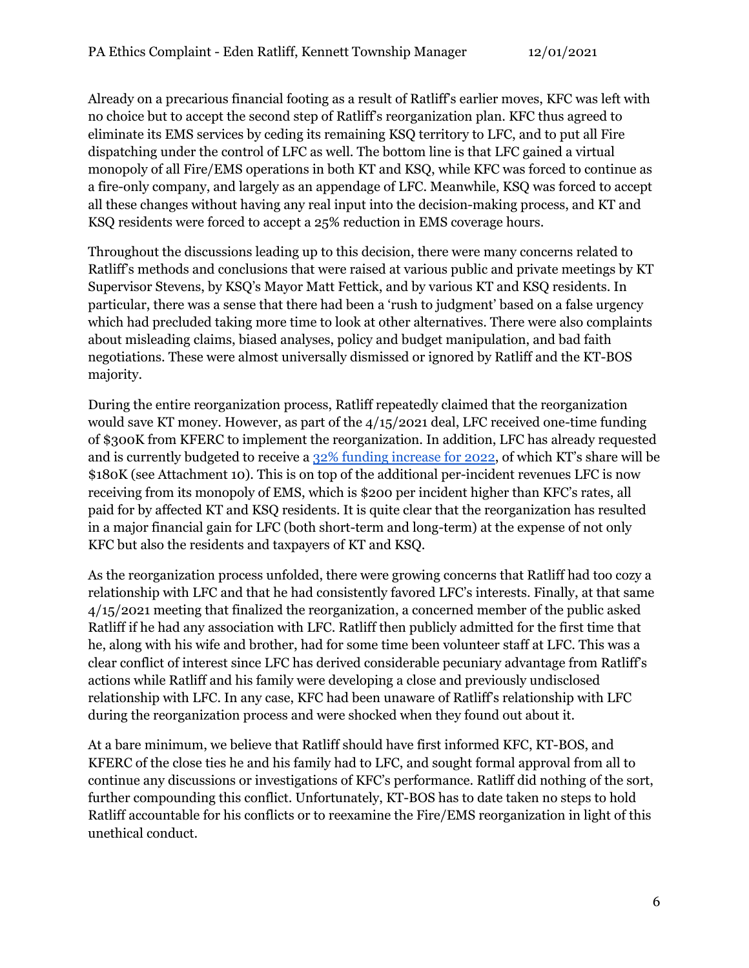Already on a precarious financial footing as a result of Ratliff's earlier moves, KFC was left with no choice but to accept the second step of Ratliff's reorganization plan. KFC thus agreed to eliminate its EMS services by ceding its remaining KSQ territory to LFC, and to put all Fire dispatching under the control of LFC as well. The bottom line is that LFC gained a virtual monopoly of all Fire/EMS operations in both KT and KSQ, while KFC was forced to continue as a fire-only company, and largely as an appendage of LFC. Meanwhile, KSQ was forced to accept all these changes without having any real input into the decision-making process, and KT and KSQ residents were forced to accept a 25% reduction in EMS coverage hours.

Throughout the discussions leading up to this decision, there were many concerns related to Ratliff's methods and conclusions that were raised at various public and private meetings by KT Supervisor Stevens, by KSQ's Mayor Matt Fettick, and by various KT and KSQ residents. In particular, there was a sense that there had been a 'rush to judgment' based on a false urgency which had precluded taking more time to look at other alternatives. There were also complaints about misleading claims, biased analyses, policy and budget manipulation, and bad faith negotiations. These were almost universally dismissed or ignored by Ratliff and the KT-BOS majority.

During the entire reorganization process, Ratliff repeatedly claimed that the reorganization would save KT money. However, as part of the 4/15/2021 deal, LFC received one-time funding of \$300K from KFERC to implement the reorganization. In addition, LFC has already requested and is currently budgeted to receive a 32% funding [increase](https://kennett.pa.us/DocumentCenter/View/5006/Agenda-Item-7_Kennett-Budget-2022-BOS-Meeting-Nov-3) for 2022, of which KT's share will be \$180K (see Attachment 10). This is on top of the additional per-incident revenues LFC is now receiving from its monopoly of EMS, which is \$200 per incident higher than KFC's rates, all paid for by affected KT and KSQ residents. It is quite clear that the reorganization has resulted in a major financial gain for LFC (both short-term and long-term) at the expense of not only KFC but also the residents and taxpayers of KT and KSQ.

As the reorganization process unfolded, there were growing concerns that Ratliff had too cozy a relationship with LFC and that he had consistently favored LFC's interests. Finally, at that same 4/15/2021 meeting that finalized the reorganization, a concerned member of the public asked Ratliff if he had any association with LFC. Ratliff then publicly admitted for the first time that he, along with his wife and brother, had for some time been volunteer staff at LFC. This was a clear conflict of interest since LFC has derived considerable pecuniary advantage from Ratliff's actions while Ratliff and his family were developing a close and previously undisclosed relationship with LFC. In any case, KFC had been unaware of Ratliff's relationship with LFC during the reorganization process and were shocked when they found out about it.

At a bare minimum, we believe that Ratliff should have first informed KFC, KT-BOS, and KFERC of the close ties he and his family had to LFC, and sought formal approval from all to continue any discussions or investigations of KFC's performance. Ratliff did nothing of the sort, further compounding this conflict. Unfortunately, KT-BOS has to date taken no steps to hold Ratliff accountable for his conflicts or to reexamine the Fire/EMS reorganization in light of this unethical conduct.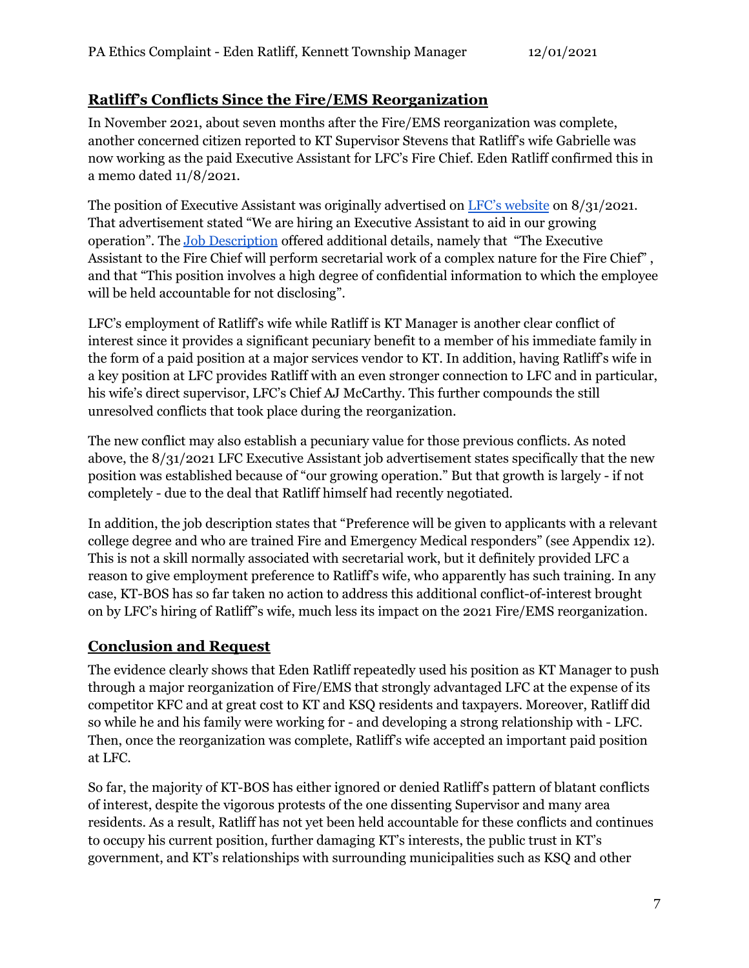### **Ratliff's Conflicts Since the Fire/EMS Reorganization**

In November 2021, about seven months after the Fire/EMS reorganization was complete, another concerned citizen reported to KT Supervisor Stevens that Ratliff's wife Gabrielle was now working as the paid Executive Assistant for LFC's Fire Chief. Eden Ratliff confirmed this in a memo dated 11/8/2021.

The position of Executive Assistant was originally advertised on LFC's [website](https://www.longwoodfireco.com/news/288/Were-hiring-an-Executive-Assistant) on 8/31/2021. That advertisement stated "We are hiring an Executive Assistant to aid in our growing operation". The Job [Description](https://www.longwoodfireco.com/files/news/288/Exec%20assistant%20jpr.pdf) offered additional details, namely that "The Executive Assistant to the Fire Chief will perform secretarial work of a complex nature for the Fire Chief" , and that "This position involves a high degree of confidential information to which the employee will be held accountable for not disclosing".

LFC's employment of Ratliff's wife while Ratliff is KT Manager is another clear conflict of interest since it provides a significant pecuniary benefit to a member of his immediate family in the form of a paid position at a major services vendor to KT. In addition, having Ratliff's wife in a key position at LFC provides Ratliff with an even stronger connection to LFC and in particular, his wife's direct supervisor, LFC's Chief AJ McCarthy. This further compounds the still unresolved conflicts that took place during the reorganization.

The new conflict may also establish a pecuniary value for those previous conflicts. As noted above, the 8/31/2021 LFC Executive Assistant job advertisement states specifically that the new position was established because of "our growing operation." But that growth is largely - if not completely - due to the deal that Ratliff himself had recently negotiated.

In addition, the job description states that "Preference will be given to applicants with a relevant college degree and who are trained Fire and Emergency Medical responders" (see Appendix 12). This is not a skill normally associated with secretarial work, but it definitely provided LFC a reason to give employment preference to Ratliff's wife, who apparently has such training. In any case, KT-BOS has so far taken no action to address this additional conflict-of-interest brought on by LFC's hiring of Ratliff"s wife, much less its impact on the 2021 Fire/EMS reorganization.

### **Conclusion and Request**

The evidence clearly shows that Eden Ratliff repeatedly used his position as KT Manager to push through a major reorganization of Fire/EMS that strongly advantaged LFC at the expense of its competitor KFC and at great cost to KT and KSQ residents and taxpayers. Moreover, Ratliff did so while he and his family were working for - and developing a strong relationship with - LFC. Then, once the reorganization was complete, Ratliff's wife accepted an important paid position at LFC.

So far, the majority of KT-BOS has either ignored or denied Ratliff's pattern of blatant conflicts of interest, despite the vigorous protests of the one dissenting Supervisor and many area residents. As a result, Ratliff has not yet been held accountable for these conflicts and continues to occupy his current position, further damaging KT's interests, the public trust in KT's government, and KT's relationships with surrounding municipalities such as KSQ and other